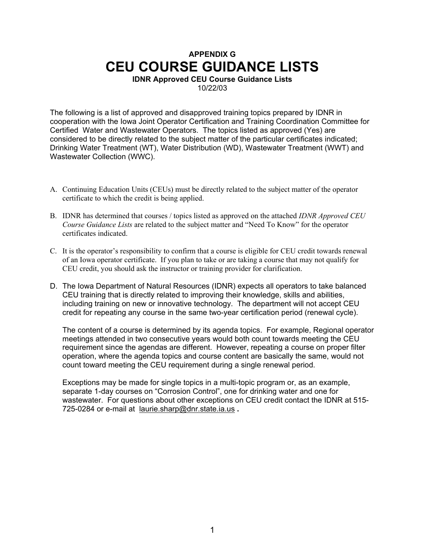## **APPENDIX G CEU COURSE GUIDANCE LISTS**

**IDNR Approved CEU Course Guidance Lists**  10/22/03

The following is a list of approved and disapproved training topics prepared by IDNR in cooperation with the Iowa Joint Operator Certification and Training Coordination Committee for Certified Water and Wastewater Operators. The topics listed as approved (Yes) are considered to be directly related to the subject matter of the particular certificates indicated; Drinking Water Treatment (WT), Water Distribution (WD), Wastewater Treatment (WWT) and Wastewater Collection (WWC).

- A. Continuing Education Units (CEUs) must be directly related to the subject matter of the operator certificate to which the credit is being applied.
- B. IDNR has determined that courses / topics listed as approved on the attached *IDNR Approved CEU Course Guidance Lists* are related to the subject matter and "Need To Know" for the operator certificates indicated.
- C. It is the operator's responsibility to confirm that a course is eligible for CEU credit towards renewal of an Iowa operator certificate. If you plan to take or are taking a course that may not qualify for CEU credit, you should ask the instructor or training provider for clarification.
- D. The Iowa Department of Natural Resources (IDNR) expects all operators to take balanced CEU training that is directly related to improving their knowledge, skills and abilities, including training on new or innovative technology. The department will not accept CEU credit for repeating any course in the same two-year certification period (renewal cycle).

The content of a course is determined by its agenda topics. For example, Regional operator meetings attended in two consecutive years would both count towards meeting the CEU requirement since the agendas are different. However, repeating a course on proper filter operation, where the agenda topics and course content are basically the same, would not count toward meeting the CEU requirement during a single renewal period.

 725-0284 or e-mail at [laurie.sharp@dnr.state.ia.us](mailto:laurie.sharp@dnr.state.ia.us) **.**  Exceptions may be made for single topics in a multi-topic program or, as an example, separate 1-day courses on "Corrosion Control", one for drinking water and one for wastewater. For questions about other exceptions on CEU credit contact the IDNR at 515-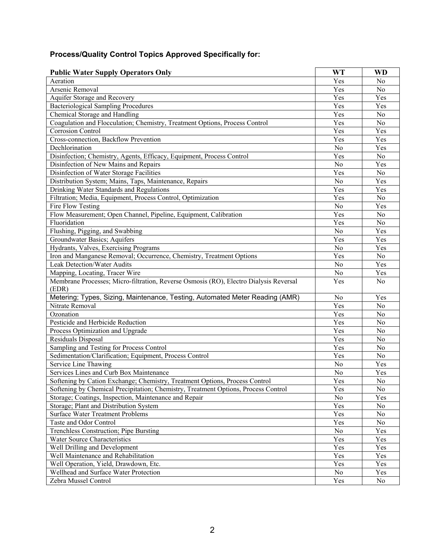| <b>Public Water Supply Operators Only</b>                                                      | <b>WT</b>      | <b>WD</b>      |
|------------------------------------------------------------------------------------------------|----------------|----------------|
| Aeration                                                                                       | Yes            | N <sub>0</sub> |
| Arsenic Removal                                                                                | Yes            | N <sub>o</sub> |
| Aquifer Storage and Recovery                                                                   | Yes            | Yes            |
| <b>Bacteriological Sampling Procedures</b>                                                     | Yes            | Yes            |
| Chemical Storage and Handling                                                                  | Yes            | No             |
| Coagulation and Flocculation; Chemistry, Treatment Options, Process Control                    | Yes            | N <sub>0</sub> |
| <b>Corrosion Control</b>                                                                       | Yes            | Yes            |
| Cross-connection, Backflow Prevention                                                          | Yes            | Yes            |
| Dechlorination                                                                                 | No             | Yes            |
| Disinfection; Chemistry, Agents, Efficacy, Equipment, Process Control                          | Yes            | No             |
| Disinfection of New Mains and Repairs                                                          | No             | Yes            |
| Disinfection of Water Storage Facilities                                                       | Yes            | N <sub>0</sub> |
| Distribution System; Mains, Taps, Maintenance, Repairs                                         | N <sub>o</sub> | Yes            |
| Drinking Water Standards and Regulations                                                       | Yes            | Yes            |
| Filtration; Media, Equipment, Process Control, Optimization                                    | Yes            | No             |
| Fire Flow Testing                                                                              | No             | Yes            |
| Flow Measurement; Open Channel, Pipeline, Equipment, Calibration                               | Yes            | No             |
| Fluoridation                                                                                   | Yes            | N <sub>0</sub> |
| Flushing, Pigging, and Swabbing                                                                | N <sub>o</sub> | Yes            |
| Groundwater Basics; Aquifers                                                                   | Yes            | Yes            |
| Hydrants, Valves, Exercising Programs                                                          | No             | Yes            |
| Iron and Manganese Removal; Occurrence, Chemistry, Treatment Options                           | Yes            | N <sub>o</sub> |
| Leak Detection/Water Audits                                                                    | No             | Yes            |
| Mapping, Locating, Tracer Wire                                                                 | No             | Yes            |
| Membrane Processes; Micro-filtration, Reverse Osmosis (RO), Electro Dialysis Reversal<br>(EDR) | Yes            | N <sub>o</sub> |
| Metering; Types, Sizing, Maintenance, Testing, Automated Meter Reading (AMR)                   | No             | Yes            |
| Nitrate Removal                                                                                | Yes            | N <sub>0</sub> |
| Ozonation                                                                                      | Yes            | N <sub>0</sub> |
| Pesticide and Herbicide Reduction                                                              | Yes            | N <sub>o</sub> |
| Process Optimization and Upgrade                                                               | Yes            | N <sub>o</sub> |
| Residuals Disposal                                                                             | Yes            | N <sub>o</sub> |
| Sampling and Testing for Process Control                                                       | Yes            | N <sub>0</sub> |
| Sedimentation/Clarification; Equipment, Process Control                                        | Yes            | N <sub>0</sub> |
| Service Line Thawing                                                                           | No             | Yes            |
| Services Lines and Curb Box Maintenance                                                        | No             | Yes            |
| Softening by Cation Exchange; Chemistry, Treatment Options, Process Control                    | Yes            | N <sub>0</sub> |
| Softening by Chemical Precipitation; Chemistry, Treatment Options, Process Control             | Yes            | N <sub>0</sub> |
| Storage; Coatings, Inspection, Maintenance and Repair                                          | No             | Yes            |
| Storage; Plant and Distribution System                                                         | Yes            | No             |
| <b>Surface Water Treatment Problems</b>                                                        | Yes            | N <sub>0</sub> |
| Taste and Odor Control                                                                         | Yes            | N <sub>0</sub> |
| Trenchless Construction; Pipe Bursting                                                         | No             | Yes            |
| <b>Water Source Characteristics</b>                                                            | Yes            | Yes            |
| Well Drilling and Development                                                                  | Yes            | Yes            |
| Well Maintenance and Rehabilitation                                                            | Yes            | Yes            |
| Well Operation, Yield, Drawdown, Etc.                                                          | Yes            | Yes            |
| Wellhead and Surface Water Protection                                                          | N <sub>0</sub> | Yes            |
| Zebra Mussel Control                                                                           | Yes            | No             |

## **Process/Quality Control Topics Approved Specifically for:**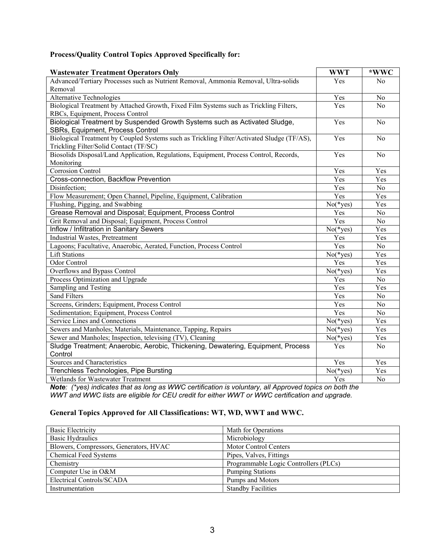| <b>Process/Quality Control Topics Approved Specifically for:</b> |  |  |
|------------------------------------------------------------------|--|--|
|------------------------------------------------------------------|--|--|

| <b>Wastewater Treatment Operators Only</b>                                                                     | <b>WWT</b>                | *WWC           |
|----------------------------------------------------------------------------------------------------------------|---------------------------|----------------|
| Advanced/Tertiary Processes such as Nutrient Removal, Ammonia Removal, Ultra-solids                            | Yes                       | N <sub>0</sub> |
| Removal                                                                                                        |                           |                |
| Alternative Technologies                                                                                       | Yes                       | N <sub>0</sub> |
| Biological Treatment by Attached Growth, Fixed Film Systems such as Trickling Filters,                         | Yes                       | N <sub>0</sub> |
| RBCs, Equipment, Process Control                                                                               |                           |                |
| Biological Treatment by Suspended Growth Systems such as Activated Sludge,<br>SBRs, Equipment, Process Control |                           | N <sub>0</sub> |
| Biological Treatment by Coupled Systems such as Trickling Filter/Activated Sludge (TF/AS),                     | Yes                       | N <sub>0</sub> |
| Trickling Filter/Solid Contact (TF/SC)                                                                         |                           |                |
| Biosolids Disposal/Land Application, Regulations, Equipment, Process Control, Records,                         | Yes                       | No             |
| Monitoring                                                                                                     |                           |                |
| <b>Corrosion Control</b>                                                                                       | Yes                       | Yes            |
| Cross-connection, Backflow Prevention                                                                          | Yes                       | Yes            |
| Disinfection;                                                                                                  | Yes                       | N <sub>o</sub> |
| Flow Measurement; Open Channel, Pipeline, Equipment, Calibration                                               | Yes                       | Yes            |
| Flushing, Pigging, and Swabbing                                                                                | $No$ (*yes)               | Yes            |
| Grease Removal and Disposal; Equipment, Process Control                                                        | Yes                       | N <sub>0</sub> |
| Grit Removal and Disposal; Equipment, Process Control                                                          | Yes                       | No             |
| Inflow / Infiltration in Sanitary Sewers                                                                       | $No$ (*yes)               | Yes            |
| Industrial Wastes, Pretreatment                                                                                | Yes                       | Yes            |
| Lagoons; Facultative, Anaerobic, Aerated, Function, Process Control                                            | Yes                       | No             |
| <b>Lift Stations</b>                                                                                           | $No$ (*yes)               | Yes            |
| Odor Control                                                                                                   | Yes                       | Yes            |
| Overflows and Bypass Control                                                                                   | $No$ (*yes)               | Yes            |
| Process Optimization and Upgrade                                                                               | Yes                       | N <sub>0</sub> |
| Sampling and Testing                                                                                           | Yes                       | Yes            |
| <b>Sand Filters</b>                                                                                            | Yes                       | N <sub>o</sub> |
| Screens, Grinders; Equipment, Process Control                                                                  | Yes                       | No             |
| Sedimentation; Equipment, Process Control                                                                      | Yes                       | N <sub>0</sub> |
| Service Lines and Connections                                                                                  | $No$ (*yes)               | Yes            |
| Sewers and Manholes; Materials, Maintenance, Tapping, Repairs                                                  | $No$ <sup>*</sup> yes $)$ | Yes            |
| Sewer and Manholes; Inspection, televising (TV), Cleaning                                                      | $No$ (*yes)               | Yes            |
| Sludge Treatment; Anaerobic, Aerobic, Thickening, Dewatering, Equipment, Process<br>Control                    | Yes                       | No             |
| Sources and Characteristics                                                                                    | Yes                       | Yes            |
| Trenchless Technologies, Pipe Bursting                                                                         | $No$ (*yes)               | Yes            |
| Wetlands for Wastewater Treatment                                                                              | Yes                       | No             |

*Note: (\*yes) indicates that as long as WWC certification is voluntary, all Approved topics on both the WWT and WWC lists are eligible for CEU credit for either WWT or WWC certification and upgrade.* 

#### **General Topics Approved for All Classifications: WT, WD, WWT and WWC.**

| <b>Basic Electricity</b>               | Math for Operations                   |
|----------------------------------------|---------------------------------------|
| <b>Basic Hydraulics</b>                | Microbiology                          |
| Blowers, Compressors, Generators, HVAC | Motor Control Centers                 |
| <b>Chemical Feed Systems</b>           | Pipes, Valves, Fittings               |
| Chemistry                              | Programmable Logic Controllers (PLCs) |
| Computer Use in O&M                    | <b>Pumping Stations</b>               |
| Electrical Controls/SCADA              | Pumps and Motors                      |
| Instrumentation                        | <b>Standby Facilities</b>             |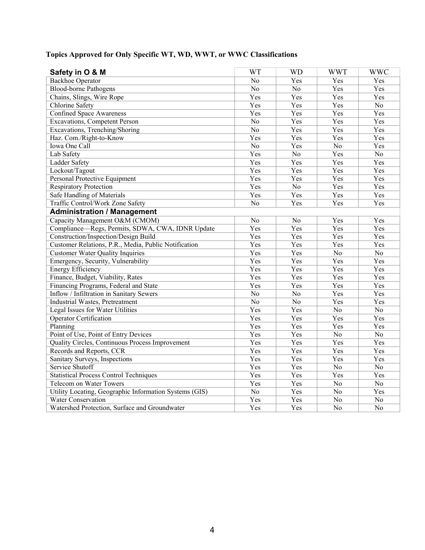| Safety in O & M                                        | <b>WT</b>      | <b>WD</b>      | <b>WWT</b>     | <b>WWC</b>      |
|--------------------------------------------------------|----------------|----------------|----------------|-----------------|
| <b>Backhoe Operator</b>                                | No             | Yes            | Yes            | Yes             |
| <b>Blood-borne Pathogens</b>                           | N <sub>o</sub> | N <sub>o</sub> | Yes            | Yes             |
| Chains, Slings, Wire Rope                              | Yes            | Yes            | Yes            | Yes             |
| Chlorine Safety                                        | Yes            | Yes            | Yes            | No              |
| <b>Confined Space Awareness</b>                        | Yes            | Yes            | Yes            | Yes             |
| Excavations, Competent Person                          | No             | Yes            | Yes            | Yes             |
| Excavations, Trenching/Shoring                         | N <sub>o</sub> | Yes            | Yes            | Yes             |
| Haz. Com./Right-to-Know                                | Yes            | Yes            | Yes            | Yes             |
| Iowa One Call                                          | N <sub>o</sub> | Yes            | N <sub>o</sub> | Yes             |
| Lab Safety                                             | Yes            | No             | Yes            | $\overline{No}$ |
| Ladder Safety                                          | Yes            | Yes            | Yes            | Yes             |
| Lockout/Tagout                                         | Yes            | Yes            | Yes            | Yes             |
| Personal Protective Equipment                          | Yes            | Yes            | Yes            | Yes             |
| <b>Respiratory Protection</b>                          | Yes            | No             | Yes            | Yes             |
| Safe Handling of Materials                             | Yes            | Yes            | Yes            | Yes             |
| Traffic Control/Work Zone Safety                       | N <sub>o</sub> | Yes            | Yes            | Yes             |
| <b>Administration / Management</b>                     |                |                |                |                 |
| Capacity Management O&M (CMOM)                         | No             | N <sub>o</sub> | Yes            | Yes             |
| Compliance—Regs, Permits, SDWA, CWA, IDNR Update       | Yes            | Yes            | Yes            | Yes             |
| Construction/Inspection/Design Build                   | Yes            | Yes            | Yes            | Yes             |
| Customer Relations, P.R., Media, Public Notification   | Yes            | Yes            | Yes            | Yes             |
| <b>Customer Water Quality Inquiries</b>                | Yes            | Yes            | N <sub>o</sub> | $\overline{No}$ |
| Emergency, Security, Vulnerability                     | Yes            | Yes            | Yes            | Yes             |
| <b>Energy Efficiency</b>                               | Yes            | Yes            | Yes            | Yes             |
| Finance, Budget, Viability, Rates                      | Yes            | Yes            | Yes            | Yes             |
| Financing Programs, Federal and State                  | Yes            | Yes            | Yes            | Yes             |
| Inflow / Infiltration in Sanitary Sewers               | N <sub>o</sub> | N <sub>o</sub> | Yes            | Yes             |
| Industrial Wastes, Pretreatment                        | N <sub>o</sub> | No             | Yes            | Yes             |
| Legal Issues for Water Utilities                       | Yes            | Yes            | No             | No              |
| Operator Certification                                 | Yes            | Yes            | Yes            | Yes             |
| Planning                                               | Yes            | Yes            | Yes            | Yes             |
| Point of Use, Point of Entry Devices                   | Yes            | Yes            | N <sub>o</sub> | $\rm No$        |
| Quality Circles, Continuous Process Improvement        | Yes            | Yes            | Yes            | Yes             |
| Records and Reports, CCR                               | Yes            | Yes            | Yes            | Yes             |
| Sanitary Surveys, Inspections                          | Yes            | Yes            | Yes            | Yes             |
| Service Shutoff                                        | Yes            | Yes            | No             | No              |
| <b>Statistical Process Control Techniques</b>          | Yes            | Yes            | Yes            | Yes             |
| Telecom on Water Towers                                | Yes            | Yes            | N <sub>o</sub> | N <sub>o</sub>  |
| Utility Locating, Geographic Information Systems (GIS) | N <sub>o</sub> | Yes            | N <sub>o</sub> | Yes             |
| Water Conservation                                     | Yes            | Yes            | N <sub>o</sub> | No              |
| Watershed Protection, Surface and Groundwater          | Yes            | Yes            | N <sub>0</sub> | N <sub>o</sub>  |

### **Topics Approved for Only Specific WT, WD, WWT, or WWC Classifications**